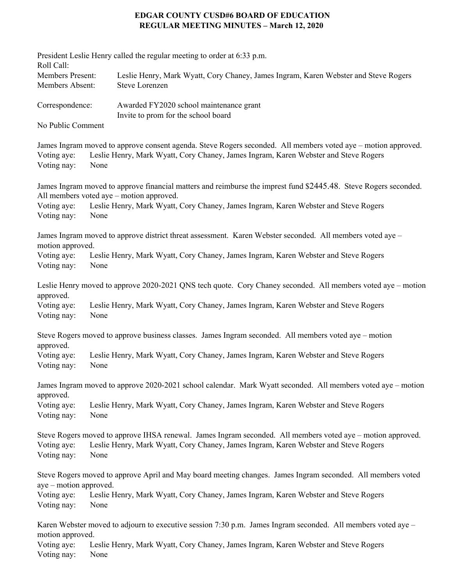## **EDGAR COUNTY CUSD#6 BOARD OF EDUCATION REGULAR MEETING MINUTES – March 12, 2020**

| Roll Call:                                                                                                                    |      | President Leslie Henry called the regular meeting to order at 6:33 p.m.                                                                                                                              |
|-------------------------------------------------------------------------------------------------------------------------------|------|------------------------------------------------------------------------------------------------------------------------------------------------------------------------------------------------------|
| Members Present:<br>Members Absent:                                                                                           |      | Leslie Henry, Mark Wyatt, Cory Chaney, James Ingram, Karen Webster and Steve Rogers<br><b>Steve Lorenzen</b>                                                                                         |
| Correspondence:                                                                                                               |      | Awarded FY2020 school maintenance grant<br>Invite to prom for the school board                                                                                                                       |
| No Public Comment                                                                                                             |      |                                                                                                                                                                                                      |
| Voting aye:<br>Voting nay:                                                                                                    | None | James Ingram moved to approve consent agenda. Steve Rogers seconded. All members voted aye – motion approved.<br>Leslie Henry, Mark Wyatt, Cory Chaney, James Ingram, Karen Webster and Steve Rogers |
|                                                                                                                               |      | James Ingram moved to approve financial matters and reimburse the imprest fund \$2445.48. Steve Rogers seconded.<br>All members voted aye – motion approved.                                         |
| Voting aye:<br>Voting nay:                                                                                                    | None | Leslie Henry, Mark Wyatt, Cory Chaney, James Ingram, Karen Webster and Steve Rogers                                                                                                                  |
| James Ingram moved to approve district threat assessment. Karen Webster seconded. All members voted aye -<br>motion approved. |      |                                                                                                                                                                                                      |
| Voting aye:<br>Voting nay:                                                                                                    | None | Leslie Henry, Mark Wyatt, Cory Chaney, James Ingram, Karen Webster and Steve Rogers                                                                                                                  |
| approved.                                                                                                                     |      | Leslie Henry moved to approve 2020-2021 QNS tech quote. Cory Chaney seconded. All members voted aye – motion                                                                                         |
| Voting aye:<br>Voting nay:                                                                                                    | None | Leslie Henry, Mark Wyatt, Cory Chaney, James Ingram, Karen Webster and Steve Rogers                                                                                                                  |
| approved.                                                                                                                     |      | Steve Rogers moved to approve business classes. James Ingram seconded. All members voted aye – motion                                                                                                |
| Voting aye:<br>Voting nay:                                                                                                    | None | Leslie Henry, Mark Wyatt, Cory Chaney, James Ingram, Karen Webster and Steve Rogers                                                                                                                  |
| James Ingram moved to approve 2020-2021 school calendar. Mark Wyatt seconded. All members voted aye – motion<br>approved.     |      |                                                                                                                                                                                                      |
| Voting aye:<br>Voting nay:                                                                                                    | None | Leslie Henry, Mark Wyatt, Cory Chaney, James Ingram, Karen Webster and Steve Rogers                                                                                                                  |
| Voting aye:<br>Voting nay:                                                                                                    | None | Steve Rogers moved to approve IHSA renewal. James Ingram seconded. All members voted aye – motion approved.<br>Leslie Henry, Mark Wyatt, Cory Chaney, James Ingram, Karen Webster and Steve Rogers   |
| aye – motion approved.                                                                                                        |      | Steve Rogers moved to approve April and May board meeting changes. James Ingram seconded. All members voted                                                                                          |
| Voting aye:<br>Voting nay:                                                                                                    | None | Leslie Henry, Mark Wyatt, Cory Chaney, James Ingram, Karen Webster and Steve Rogers                                                                                                                  |
| motion approved.                                                                                                              |      | Karen Webster moved to adjourn to executive session 7:30 p.m. James Ingram seconded. All members voted aye –                                                                                         |
| Voting aye:<br>Voting nay:                                                                                                    | None | Leslie Henry, Mark Wyatt, Cory Chaney, James Ingram, Karen Webster and Steve Rogers                                                                                                                  |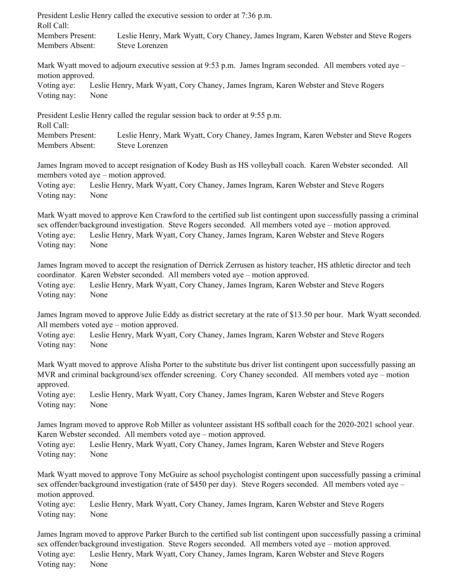President Leslie Henry called the executive session to order at 7:36 p.m. Roll Call:

Members Present: Leslie Henry, Mark Wyatt, Cory Chaney, James Ingram, Karen Webster and Steve Rogers Members Absent: Steve Lorenzen

Mark Wyatt moved to adjourn executive session at 9:53 p.m. James Ingram seconded. All members voted aye – motion approved.

Voting aye: Leslie Henry, Mark Wyatt, Cory Chaney, James Ingram, Karen Webster and Steve Rogers Voting nay: None

President Leslie Henry called the regular session back to order at 9:55 p.m.

Roll Call:

Members Present: Leslie Henry, Mark Wyatt, Cory Chaney, James Ingram, Karen Webster and Steve Rogers Members Absent: Steve Lorenzen

James Ingram moved to accept resignation of Kodey Bush as HS volleyball coach. Karen Webster seconded. All members voted aye – motion approved.

Voting aye: Leslie Henry, Mark Wyatt, Cory Chaney, James Ingram, Karen Webster and Steve Rogers Voting nay: None

Mark Wyatt moved to approve Ken Crawford to the certified sub list contingent upon successfully passing a criminal sex offender/background investigation. Steve Rogers seconded. All members voted aye – motion approved. Voting aye: Leslie Henry, Mark Wyatt, Cory Chaney, James Ingram, Karen Webster and Steve Rogers Voting nay: None

James Ingram moved to accept the resignation of Derrick Zerrusen as history teacher, HS athletic director and tech coordinator. Karen Webster seconded. All members voted aye – motion approved. Voting aye: Leslie Henry, Mark Wyatt, Cory Chaney, James Ingram, Karen Webster and Steve Rogers Voting nay: None

James Ingram moved to approve Julie Eddy as district secretary at the rate of \$13.50 per hour. Mark Wyatt seconded. All members voted aye – motion approved.

Voting aye: Leslie Henry, Mark Wyatt, Cory Chaney, James Ingram, Karen Webster and Steve Rogers Voting nay: None

Mark Wyatt moved to approve Alisha Porter to the substitute bus driver list contingent upon successfully passing an MVR and criminal background/sex offender screening. Cory Chaney seconded. All members voted aye – motion approved.

Voting aye: Leslie Henry, Mark Wyatt, Cory Chaney, James Ingram, Karen Webster and Steve Rogers Voting nay: None

James Ingram moved to approve Rob Miller as volunteer assistant HS softball coach for the 2020-2021 school year. Karen Webster seconded. All members voted aye – motion approved.

Voting aye: Leslie Henry, Mark Wyatt, Cory Chaney, James Ingram, Karen Webster and Steve Rogers Voting nay: None

Mark Wyatt moved to approve Tony McGuire as school psychologist contingent upon successfully passing a criminal sex offender/background investigation (rate of \$450 per day). Steve Rogers seconded. All members voted aye – motion approved.

Voting aye: Leslie Henry, Mark Wyatt, Cory Chaney, James Ingram, Karen Webster and Steve Rogers Voting nay: None

James Ingram moved to approve Parker Burch to the certified sub list contingent upon successfully passing a criminal sex offender/background investigation. Steve Rogers seconded. All members voted aye – motion approved. Voting aye: Leslie Henry, Mark Wyatt, Cory Chaney, James Ingram, Karen Webster and Steve Rogers Voting nay: None